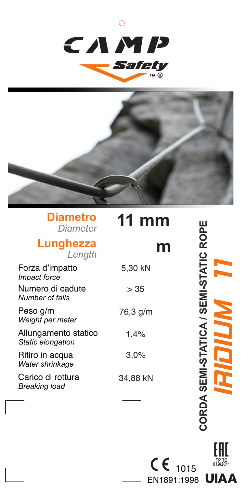



### **Diametro** *Diameter*

#### **Lunghezza** *Length*

# **11 mm**

### **m**

Forza d'impatto *Impact force* Numero di cadute *Number of falls* Peso g/m *Weight per meter* Allungamento statico *Static elongation* Ritiro in acqua *Water shrinkage* Carico di rottura *Breaking load* 5,30 kN  $> 35$ 76,3 g/m 1,4% 3,0% 34,88 kN CORDA SEMI-STATICA / SEMI-STATIC ROPE **CORDA SEMI-STATICA / SEMI-STATIC ROPE** IRIDIUM 11

> **TP TC 019/2011**

**UIAA** 

EN1891:1998  $C \epsilon$  1015